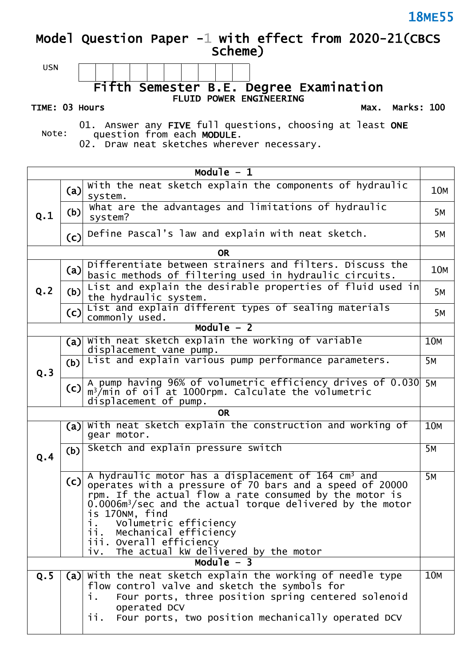### **Model Question Paper -1 with effect from 2020-21(CBCS Scheme)**



**Fifth Semester B.E. Degree Examination FLUID POWER ENGINEERING**

#### **TIME: 03 Hours**

**Max. Marks: 100**

Note: 01. Answer any **FIVE** full questions, choosing at least **ONE** question from each **MODULE**.

02. Draw neat sketches wherever necessary.

| Module $-1$                                                                    |     |                                                                                                                                                                                                                                                                                                                                                                                                                               |            |  |  |
|--------------------------------------------------------------------------------|-----|-------------------------------------------------------------------------------------------------------------------------------------------------------------------------------------------------------------------------------------------------------------------------------------------------------------------------------------------------------------------------------------------------------------------------------|------------|--|--|
|                                                                                | (a) | with the neat sketch explain the components of hydraulic<br>system.                                                                                                                                                                                                                                                                                                                                                           | <b>10M</b> |  |  |
| Q.1                                                                            | (b) | What are the advantages and limitations of hydraulic<br>system?                                                                                                                                                                                                                                                                                                                                                               | 5м         |  |  |
|                                                                                | (c) | Define Pascal's law and explain with neat sketch.                                                                                                                                                                                                                                                                                                                                                                             | 5м         |  |  |
|                                                                                |     | <b>OR</b>                                                                                                                                                                                                                                                                                                                                                                                                                     |            |  |  |
|                                                                                | (a) | Differentiate between strainers and filters. Discuss the<br>basic methods of filtering used in hydraulic circuits.                                                                                                                                                                                                                                                                                                            | <b>10M</b> |  |  |
| Q.2                                                                            | (b) | List and explain the desirable properties of fluid used in<br>the hydraulic system.                                                                                                                                                                                                                                                                                                                                           | 5M         |  |  |
|                                                                                | (c) | List and explain different types of sealing materials<br>commonly used.                                                                                                                                                                                                                                                                                                                                                       | 5M         |  |  |
|                                                                                |     | Module $-2$                                                                                                                                                                                                                                                                                                                                                                                                                   |            |  |  |
|                                                                                | (a) | with neat sketch explain the working of variable<br>displacement vane pump.                                                                                                                                                                                                                                                                                                                                                   | <b>10M</b> |  |  |
| Q.3                                                                            | (b) | List and explain various pump performance parameters.                                                                                                                                                                                                                                                                                                                                                                         | 5м         |  |  |
|                                                                                | (c) | A pump having 96% of volumetric efficiency drives of 0.030 5M<br>$m^3/m$ in of oil at 1000rpm. Calculate the volumetric<br>displacement of pump.                                                                                                                                                                                                                                                                              |            |  |  |
| <b>OR</b><br><b>10M</b>                                                        |     |                                                                                                                                                                                                                                                                                                                                                                                                                               |            |  |  |
| With neat sketch explain the construction and working of<br>(a)<br>gear motor. |     |                                                                                                                                                                                                                                                                                                                                                                                                                               |            |  |  |
| Q.4                                                                            | (b) | Sketch and explain pressure switch                                                                                                                                                                                                                                                                                                                                                                                            | <b>5M</b>  |  |  |
|                                                                                | (c) | A hydraulic motor has a displacement of 164 cm <sup>3</sup> and<br><b>5M</b><br>operates with a pressure of 70 bars and a speed of 20000<br>rpm. If the actual flow a rate consumed by the motor is<br>$0.0006m3/sec$ and the actual torque delivered by the motor<br>is 170NM, find<br>Volumetric efficiency<br>1.<br>Mechanical efficiency<br>ii.<br>iii. Overall efficiency<br>The actual kw delivered by the motor<br>iv. |            |  |  |
|                                                                                |     | Module $-3$                                                                                                                                                                                                                                                                                                                                                                                                                   |            |  |  |
| Q.5                                                                            |     | (a) with the neat sketch explain the working of needle type<br>flow control valve and sketch the symbols for<br>Four ports, three position spring centered solenoid<br>i.<br>operated DCV<br>Four ports, two position mechanically operated DCV<br>ii.                                                                                                                                                                        | <b>10M</b> |  |  |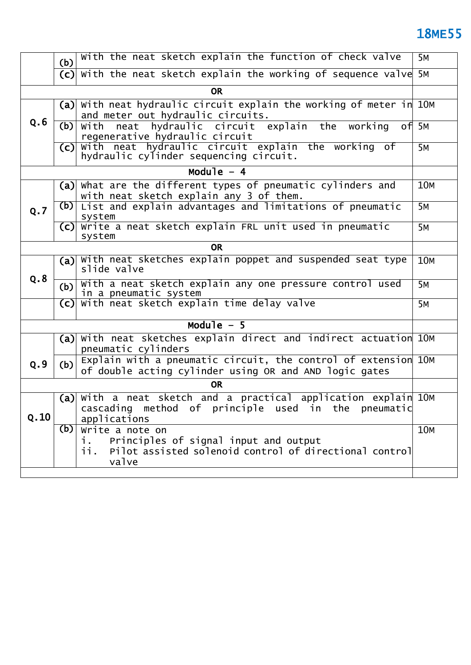|                                                                                            | With the neat sketch explain the function of check valve<br>(b)                                                                                 |                                                                                                                                         |                    |  |  |  |  |  |
|--------------------------------------------------------------------------------------------|-------------------------------------------------------------------------------------------------------------------------------------------------|-----------------------------------------------------------------------------------------------------------------------------------------|--------------------|--|--|--|--|--|
|                                                                                            |                                                                                                                                                 | (c) with the neat sketch explain the working of sequence valve 5M                                                                       |                    |  |  |  |  |  |
| <b>OR</b>                                                                                  |                                                                                                                                                 |                                                                                                                                         |                    |  |  |  |  |  |
|                                                                                            | With neat hydraulic circuit explain the working of meter in 10M<br>(a)<br>and meter out hydraulic circuits.                                     |                                                                                                                                         |                    |  |  |  |  |  |
| Q.6                                                                                        | (b)                                                                                                                                             | with neat hydraulic circuit explain the working<br>regenerative hydraulic circuit                                                       | of 5M<br><b>5M</b> |  |  |  |  |  |
|                                                                                            | With neat hydraulic circuit explain the working of<br>(c)<br>hydraulic cylinder sequencing circuit.                                             |                                                                                                                                         |                    |  |  |  |  |  |
|                                                                                            |                                                                                                                                                 | Module $-4$                                                                                                                             |                    |  |  |  |  |  |
|                                                                                            |                                                                                                                                                 | (a) what are the different types of pneumatic cylinders and<br>with neat sketch explain any 3 of them.                                  | 10M                |  |  |  |  |  |
| Q.7                                                                                        | (b)                                                                                                                                             | List and explain advantages and limitations of pneumatic<br>system                                                                      | $\overline{5M}$    |  |  |  |  |  |
|                                                                                            |                                                                                                                                                 | (c) Write a neat sketch explain FRL unit used in pneumatic<br>system                                                                    | 5M                 |  |  |  |  |  |
| <b>OR</b>                                                                                  |                                                                                                                                                 |                                                                                                                                         |                    |  |  |  |  |  |
|                                                                                            | (a)                                                                                                                                             | With neat sketches explain poppet and suspended seat type<br>slide valve                                                                |                    |  |  |  |  |  |
|                                                                                            | Q.8<br>With a neat sketch explain any one pressure control used<br>(b)<br>in a pneumatic system                                                 |                                                                                                                                         |                    |  |  |  |  |  |
| With neat sketch explain time delay valve<br>(c)                                           |                                                                                                                                                 |                                                                                                                                         |                    |  |  |  |  |  |
| Module $-5$                                                                                |                                                                                                                                                 |                                                                                                                                         |                    |  |  |  |  |  |
| With neat sketches explain direct and indirect actuation 10M<br>(a)<br>pneumatic cylinders |                                                                                                                                                 |                                                                                                                                         |                    |  |  |  |  |  |
| Q.9                                                                                        | (b)                                                                                                                                             | Explain with a pneumatic circuit, the control of extension 10M<br>of double acting cylinder using OR and AND logic gates                |                    |  |  |  |  |  |
|                                                                                            |                                                                                                                                                 | <b>OR</b>                                                                                                                               |                    |  |  |  |  |  |
| Q.10                                                                                       |                                                                                                                                                 | $(a)$ with a neat sketch and a practical application explain 10M<br>cascading method of principle used in the pneumatic<br>applications |                    |  |  |  |  |  |
|                                                                                            | (b)<br>Write a note on<br>Principles of signal input and output<br>i.<br>ii.<br>Pilot assisted solenoid control of directional control<br>valve |                                                                                                                                         |                    |  |  |  |  |  |
|                                                                                            |                                                                                                                                                 |                                                                                                                                         |                    |  |  |  |  |  |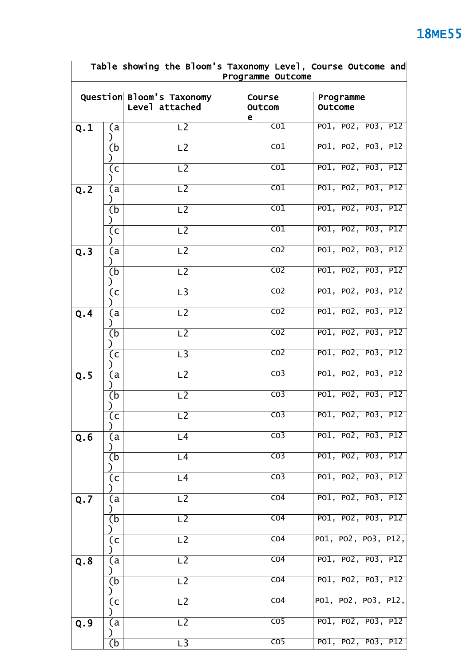| Table showing the Bloom's Taxonomy Level, Course Outcome and<br>Programme Outcome |     |                                             |                              |                     |  |
|-----------------------------------------------------------------------------------|-----|---------------------------------------------|------------------------------|---------------------|--|
|                                                                                   |     | Question Bloom's Taxonomy<br>Level attached | Course<br>Outcom             |                     |  |
| Q.1                                                                               | (a  | L <sub>2</sub>                              | е<br>$\overline{\text{co1}}$ | PO1, PO2, PO3, P12  |  |
|                                                                                   | (b  | L <sub>2</sub>                              | $\overline{CO1}$             | PO1, PO2, PO3, P12  |  |
|                                                                                   | (c  | L <sub>2</sub>                              | $\overline{\text{co1}}$      | PO1, PO2, PO3, P12  |  |
| Q.2                                                                               | (a  | L2                                          | $\overline{CO1}$             | PO1, PO2, PO3, P12  |  |
|                                                                                   | (b  | L <sub>2</sub>                              | $\overline{\text{co1}}$      | PO1, PO2, PO3, P12  |  |
|                                                                                   | (c  | $\overline{L2}$                             | $\overline{co1}$             | PO1, PO2, PO3, P12  |  |
| Q.3                                                                               | (a  | L <sub>2</sub>                              | $\overline{CO2}$             | PO1, PO2, PO3, P12  |  |
|                                                                                   | (b  | L <sub>2</sub>                              | $\overline{CO2}$             | PO1, PO2, PO3, P12  |  |
|                                                                                   | (c) | $\overline{L}$ 3                            | $\overline{CO2}$             | PO1, PO2, PO3, P12  |  |
| Q.4                                                                               | (a  | L <sub>2</sub>                              | CO <sub>2</sub>              | PO1, PO2, PO3, P12  |  |
|                                                                                   | (b  | L2                                          | $\overline{CO2}$             | PO1, PO2, PO3, P12  |  |
|                                                                                   | (c  | $\overline{L}$ 3                            | $\overline{CO2}$             | PO1, PO2, PO3, P12  |  |
| Q.5                                                                               | (a  | L <sub>2</sub>                              | $\overline{CO3}$             | PO1, PO2, PO3, P12  |  |
|                                                                                   | (b) | L <sub>2</sub>                              | $\overline{CO3}$             | PO1, PO2, PO3, P12  |  |
|                                                                                   | (c  | L <sub>2</sub>                              | CO <sub>3</sub>              | PO1, PO2, PO3, P12  |  |
| Q.6                                                                               | (a  | L <sub>4</sub>                              | $\overline{CO3}$             | PO1, PO2, PO3, P12  |  |
|                                                                                   | (b  | L <sub>4</sub>                              | $\overline{CO3}$             | PO1, PO2, PO3, P12  |  |
|                                                                                   | (c  | L <sub>4</sub>                              | $\overline{CO3}$             | PO1, PO2, PO3, P12  |  |
| Q.7                                                                               | (a  | L <sub>2</sub>                              | CO <sub>4</sub>              | PO1, PO2, PO3, P12  |  |
|                                                                                   | (b  | L <sub>2</sub>                              | CO <sub>4</sub>              | PO1, PO2, PO3, P12  |  |
|                                                                                   | (c  | L <sub>2</sub>                              | CO <sub>4</sub>              | PO1, PO2, PO3, P12, |  |
| Q.8                                                                               | (a  | L <sub>2</sub>                              | $\overline{CO4}$             | PO1, PO2, PO3, P12  |  |
|                                                                                   | (b  | $\overline{L2}$                             | CO <sub>4</sub>              | PO1, PO2, PO3, P12  |  |
|                                                                                   | (c  | L <sub>2</sub>                              | CO <sub>4</sub>              | PO1, PO2, PO3, P12, |  |
| Q.9                                                                               | (a  | L <sub>2</sub>                              | $\overline{CO5}$             | PO1, PO2, PO3, P12  |  |
|                                                                                   | (b  | L3                                          | $\overline{CO5}$             | PO1, PO2, PO3, P12  |  |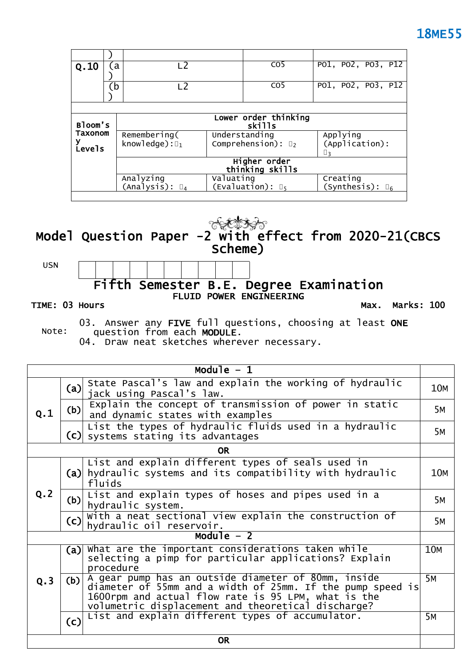| Q.10    | L <sub>2</sub><br>a |                            |           | CO <sub>5</sub>                | PO1, PO2, PO3, P12       |  |  |  |  |
|---------|---------------------|----------------------------|-----------|--------------------------------|--------------------------|--|--|--|--|
|         |                     |                            |           |                                |                          |  |  |  |  |
|         | $\mathbf{b}$        | L <sub>2</sub>             |           | C <sub>O</sub> <sub>5</sub>    | PO1, PO2, PO3, P12       |  |  |  |  |
|         |                     |                            |           |                                |                          |  |  |  |  |
|         |                     |                            |           |                                |                          |  |  |  |  |
|         |                     | Lower order thinking       |           |                                |                          |  |  |  |  |
| Bloom's |                     | skills                     |           |                                |                          |  |  |  |  |
| Taxonom |                     | Remembering(               |           | Understanding                  | Applying                 |  |  |  |  |
|         |                     | knowledge): $\square_1$    |           | Comprehension): $\mathbb{D}_2$ | (Application):           |  |  |  |  |
| Levels  |                     |                            |           |                                | □२                       |  |  |  |  |
|         |                     | Higher order               |           |                                |                          |  |  |  |  |
|         |                     | thinking skills            |           |                                |                          |  |  |  |  |
|         |                     | Analyzing                  | Valuating |                                | Creating                 |  |  |  |  |
|         |                     | $(Analysis): \mathbb{I}_4$ |           | (Evaluation): $\mathbb{D}_5$   | (Synthesis): $\square_6$ |  |  |  |  |
|         |                     |                            |           |                                |                          |  |  |  |  |

**Model Question Paper -2 with effect from 2020-21(CBCS Scheme)**

USN

### **Fifth Semester B.E. Degree Examination FLUID POWER ENGINEERING**

#### **TIME: 03 Hours**

**Max. Marks: 100**

Note: 03. Answer any **FIVE** full questions, choosing at least **ONE** question from each **MODULE**.

04. Draw neat sketches wherever necessary.

| $\overline{\text{Module}} - 1$ |     |                                                                                                                                                                                                                                |            |  |  |
|--------------------------------|-----|--------------------------------------------------------------------------------------------------------------------------------------------------------------------------------------------------------------------------------|------------|--|--|
| Q.1                            | (a) | State Pascal's law and explain the working of hydraulic<br>jack using Pascal's law.                                                                                                                                            | <b>10M</b> |  |  |
|                                | (b) | Explain the concept of transmission of power in static<br>and dynamic states with examples                                                                                                                                     | 5м         |  |  |
|                                |     | List the types of hydraulic fluids used in a hydraulic<br>(c) systems stating its advantages                                                                                                                                   | 5м         |  |  |
|                                |     | <b>OR</b>                                                                                                                                                                                                                      |            |  |  |
| Q.2                            |     | List and explain different types of seals used in<br>(a) hydraulic systems and its compatibility with hydraulic<br>fluids                                                                                                      | <b>10M</b> |  |  |
|                                | (b) | List and explain types of hoses and pipes used in a<br>hydraulic system.                                                                                                                                                       | 5M         |  |  |
|                                | (c) | With a neat sectional view explain the construction of<br>hydraulic oil reservoir.                                                                                                                                             | 5м         |  |  |
|                                |     | Module $-2$                                                                                                                                                                                                                    |            |  |  |
|                                | (a) | What are the important considerations taken while<br>selecting a pimp for particular applications? Explain<br>procedure                                                                                                        | 10M        |  |  |
| Q.3                            | (b) | A gear pump has an outside diameter of 80mm, inside<br>diameter of 55mm and a width of 25mm. If the pump speed is<br>1600rpm and actual flow rate is 95 LPM, what is the<br>volumetric displacement and theoretical discharge? | <b>5M</b>  |  |  |
|                                | (c) | List and explain different types of accumulator.                                                                                                                                                                               | 5M         |  |  |
| <b>OR</b>                      |     |                                                                                                                                                                                                                                |            |  |  |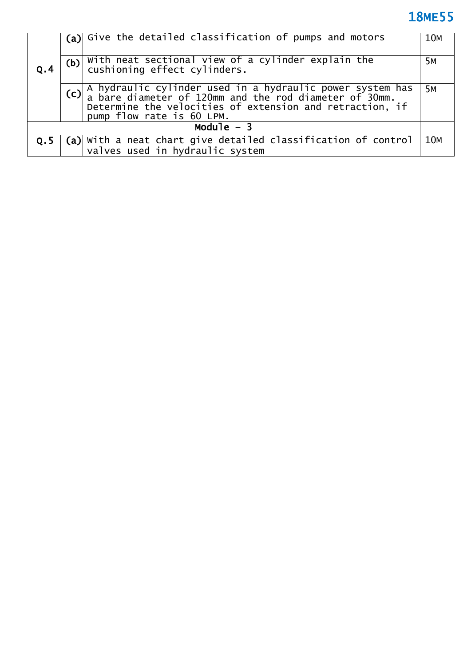|     |             | (a) Give the detailed classification of pumps and motors                                                                                                                                                         | 10M |  |  |  |
|-----|-------------|------------------------------------------------------------------------------------------------------------------------------------------------------------------------------------------------------------------|-----|--|--|--|
| 0.4 | (b)         | With neat sectional view of a cylinder explain the<br>cushioning effect cylinders.                                                                                                                               | 5M  |  |  |  |
|     |             | (c) A hydraulic cylinder used in a hydraulic power system has<br>a bare diameter of 120mm and the rod diameter of 30mm.<br>Determine the velocities of extension and retraction, if<br>pump flow rate is 60 LPM. | 5M  |  |  |  |
|     | Module $-3$ |                                                                                                                                                                                                                  |     |  |  |  |
| Q.5 |             | $(a)$ with a neat chart give detailed classification of control<br>valves used in hydraulic system                                                                                                               | 10M |  |  |  |
|     |             |                                                                                                                                                                                                                  |     |  |  |  |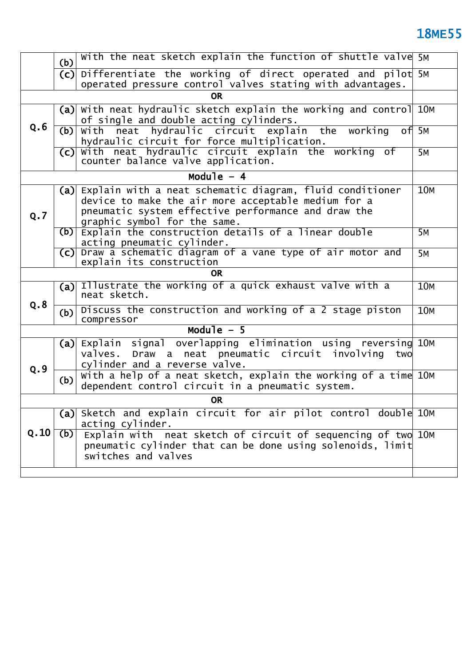| With the neat sketch explain the function of shuttle valve 5M<br>(b) |     |                                                                                                                                                                                                        |            |  |  |  |
|----------------------------------------------------------------------|-----|--------------------------------------------------------------------------------------------------------------------------------------------------------------------------------------------------------|------------|--|--|--|
|                                                                      |     | $(c)$ Differentiate the working of direct operated and pilot 5M                                                                                                                                        |            |  |  |  |
|                                                                      |     | operated pressure control valves stating with advantages.<br><b>OR</b>                                                                                                                                 |            |  |  |  |
|                                                                      |     |                                                                                                                                                                                                        |            |  |  |  |
|                                                                      | (a) | With neat hydraulic sketch explain the working and control 10M<br>of single and double acting cylinders.                                                                                               |            |  |  |  |
| Q.6                                                                  | (b) | with neat hydraulic circuit explain the working<br>hydraulic circuit for force multiplication.                                                                                                         | $of$ 5M    |  |  |  |
|                                                                      | (c) | With neat hydraulic circuit explain the working of<br>counter balance valve application.                                                                                                               | 5M         |  |  |  |
|                                                                      |     | Module $-4$                                                                                                                                                                                            |            |  |  |  |
| Q.7                                                                  | (a) | Explain with a neat schematic diagram, fluid conditioner<br>device to make the air more acceptable medium for a<br>pneumatic system effective performance and draw the<br>graphic symbol for the same. | 10M        |  |  |  |
|                                                                      | (b) | Explain the construction details of a linear double<br>acting pneumatic cylinder.                                                                                                                      | 5M         |  |  |  |
|                                                                      | (c) | Draw a schematic diagram of a vane type of air motor and<br>explain its construction                                                                                                                   | 5M         |  |  |  |
| OR.                                                                  |     |                                                                                                                                                                                                        |            |  |  |  |
|                                                                      | (a) | Illustrate the working of a quick exhaust valve with a<br>neat sketch.                                                                                                                                 | <b>10M</b> |  |  |  |
| Q.8                                                                  | (b) | Discuss the construction and working of a 2 stage piston<br>compressor                                                                                                                                 | <b>10M</b> |  |  |  |
|                                                                      |     | Module $-5$                                                                                                                                                                                            |            |  |  |  |
| Q.9                                                                  |     | (a) Explain signal overlapping elimination using reversing 10M<br>valves. Draw a neat pneumatic circuit involving<br>two<br>cylinder and a reverse valve.                                              |            |  |  |  |
|                                                                      | (b) | With a help of a neat sketch, explain the working of a time 10M<br>dependent control circuit in a pneumatic system.                                                                                    |            |  |  |  |
| <b>OR</b>                                                            |     |                                                                                                                                                                                                        |            |  |  |  |
|                                                                      | (a) | Sketch and explain circuit for air pilot control double 10M<br>acting cylinder.                                                                                                                        |            |  |  |  |
| Q.10                                                                 | (b) | Explain with neat sketch of circuit of sequencing of two 10M<br>pneumatic cylinder that can be done using solenoids, limit<br>switches and valves                                                      |            |  |  |  |
|                                                                      |     |                                                                                                                                                                                                        |            |  |  |  |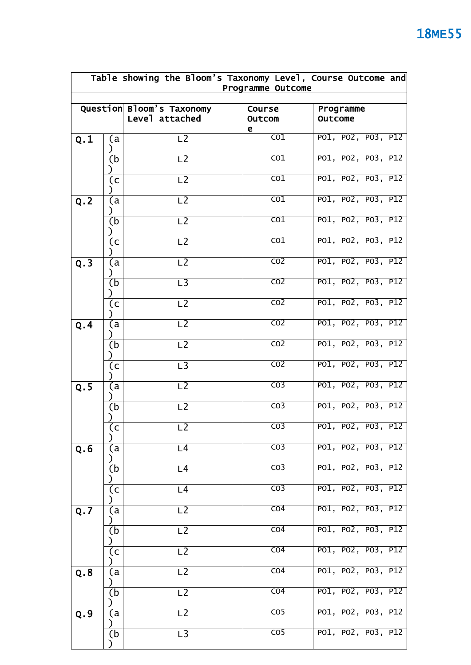|     | Table showing the Bloom's Taxonomy Level, Course Outcome and<br>Programme Outcome |                                             |                         |                      |  |  |
|-----|-----------------------------------------------------------------------------------|---------------------------------------------|-------------------------|----------------------|--|--|
|     |                                                                                   | Question Bloom's Taxonomy<br>Level attached | Course<br>Outcom<br>е   | Programme<br>Outcome |  |  |
| Q.1 | (a<br>⟩                                                                           | L2                                          | $\overline{\text{co1}}$ | PO1, PO2, PO3, P12   |  |  |
|     | $\overline{(\mathsf{b})}$                                                         | $\overline{L2}$                             | $\overline{\text{co1}}$ | PO1, PO2, PO3, P12   |  |  |
|     | (c                                                                                | L <sub>2</sub>                              | $\overline{\text{co1}}$ | PO1, PO2, PO3, P12   |  |  |
| Q.2 | (a                                                                                | L <sub>2</sub>                              | $\overline{CO1}$        | PO1, PO2, PO3, P12   |  |  |
|     | (b                                                                                | $\overline{L2}$                             | $\overline{\text{co1}}$ | PO1, PO2, PO3, P12   |  |  |
|     | (c                                                                                | $\overline{L2}$                             | $\overline{co1}$        | PO1, PO2, PO3, P12   |  |  |
| Q.3 | (a                                                                                | L <sub>2</sub>                              | $\overline{CO2}$        | PO1, PO2, PO3, P12   |  |  |
|     | (b                                                                                | $\overline{L}$ 3                            | $\overline{CO2}$        | PO1, PO2, PO3, P12   |  |  |
|     | (c)                                                                               | $\overline{L2}$                             | $\overline{CO2}$        | PO1, PO2, PO3, P12   |  |  |
| Q.4 | (a                                                                                | L <sub>2</sub>                              | $\overline{CO2}$        | PO1, PO2, PO3, P12   |  |  |
|     | (b                                                                                | $\overline{L2}$                             | $\overline{CO2}$        | PO1, PO2, PO3, P12   |  |  |
|     | (c)                                                                               | $\overline{L}$ 3                            | CO <sub>2</sub>         | PO1, PO2, PO3, P12   |  |  |
| Q.5 | (a                                                                                | $\overline{L2}$                             | $\overline{CO3}$        | PO1, PO2, PO3, P12   |  |  |
|     | (b                                                                                | L <sub>2</sub>                              | $\overline{CO3}$        | PO1, PO2, PO3, P12   |  |  |
|     | (c                                                                                | L <sub>2</sub>                              | CO <sub>3</sub>         | PO1, PO2, PO3, P12   |  |  |
| Q.6 | (a                                                                                | L4                                          | CO <sub>3</sub>         | PO1, PO2, PO3, P12   |  |  |
|     | (b                                                                                | L <sub>4</sub>                              | CO <sub>3</sub>         | PO1, PO2, PO3, P12   |  |  |
|     | (c                                                                                | L4                                          | $\overline{CO3}$        | PO1, PO2, PO3, P12   |  |  |
| Q.7 | (a                                                                                | L <sub>2</sub>                              | $\overline{CO4}$        | PO1, PO2, PO3, P12   |  |  |
|     | (b                                                                                | L <sub>2</sub>                              | CO <sub>4</sub>         | PO1, PO2, PO3, P12   |  |  |
|     | (c                                                                                | L <sub>2</sub>                              | CO <sub>4</sub>         | PO1, PO2, PO3, P12   |  |  |
| Q.8 | (a                                                                                | L <sub>2</sub>                              | $\overline{CO4}$        | PO1, PO2, PO3, P12   |  |  |
|     | (b                                                                                | L <sub>2</sub>                              | CO <sub>4</sub>         | PO1, PO2, PO3, P12   |  |  |
| Q.9 | (a                                                                                | L <sub>2</sub>                              | $\overline{CO5}$        | PO1, PO2, PO3, P12   |  |  |
|     | (b                                                                                | L3                                          | $\overline{CO5}$        | PO1, PO2, PO3, P12   |  |  |